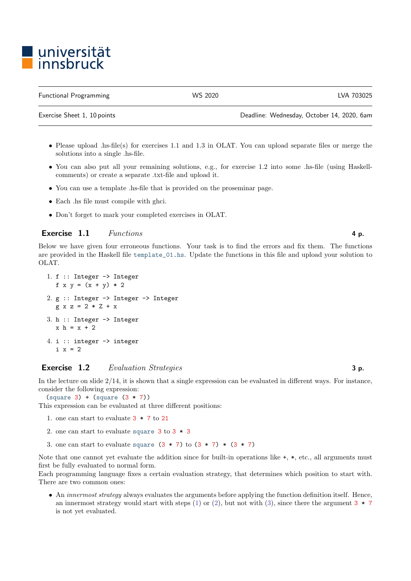# l universität<br>l innsbruck

Functional Programming WS 2020 LVA 703025

Exercise Sheet 1, 10 points Deadline: Wednesday, October 14, 2020, 6am

- Please upload .hs-file(s) for exercises 1.1 and 1.3 in OLAT. You can upload separate files or merge the solutions into a single .hs-file.
- You can also put all your remaining solutions, e.g., for exercise 1.2 into some .hs-file (using Haskellcomments) or create a separate .txt-file and upload it.
- You can use a template .hs-file that is provided on the proseminar page.
- Each .hs file must compile with ghci.
- Don't forget to mark your completed exercises in OLAT.

#### Exercise 1.1 Functions 4 p.

Below we have given four erroneous functions. Your task is to find the errors and fix them. The functions are provided in the Haskell file template\_01.hs. Update the functions in this file and upload your solution to OLAT.

```
1. f :: Integer -> Integer
  f x y = (x + y) * 22. g :: Integer -> Integer -> Integer
  g x z = 2 * Z + x3. h :: Integer -> Integer
  x h = x + 24. i :: integer -> integer
  i \times z = 2
```
## Exercise 1.2 Evaluation Strategies 3 p.

In the lecture on slide 2/14, it is shown that a single expression can be evaluated in different ways. For instance, consider the following expression:

 $(square 3) + (square (3 * 7))$ 

<span id="page-0-0"></span>This expression can be evaluated at three different positions:

- 1. one can start to evaluate 3 \* 7 to 21
- <span id="page-0-1"></span>2. one can start to evaluate square  $3 \text{ to } 3 * 3$
- <span id="page-0-2"></span>3. one can start to evaluate square  $(3 * 7)$  to  $(3 * 7) * (3 * 7)$

Note that one cannot vet evaluate the addition since for built-in operations like  $+$ ,  $*$ , etc., all arguments must first be fully evaluated to normal form.

Each programming language fixes a certain evaluation strategy, that determines which position to start with. There are two common ones:

• An innermost strategy always evaluates the arguments before applying the function definition itself. Hence, an innermost strategy would start with steps [\(1\)](#page-0-0) or [\(2\)](#page-0-1), but not with [\(3\)](#page-0-2), since there the argument  $3 * 7$ is not yet evaluated.